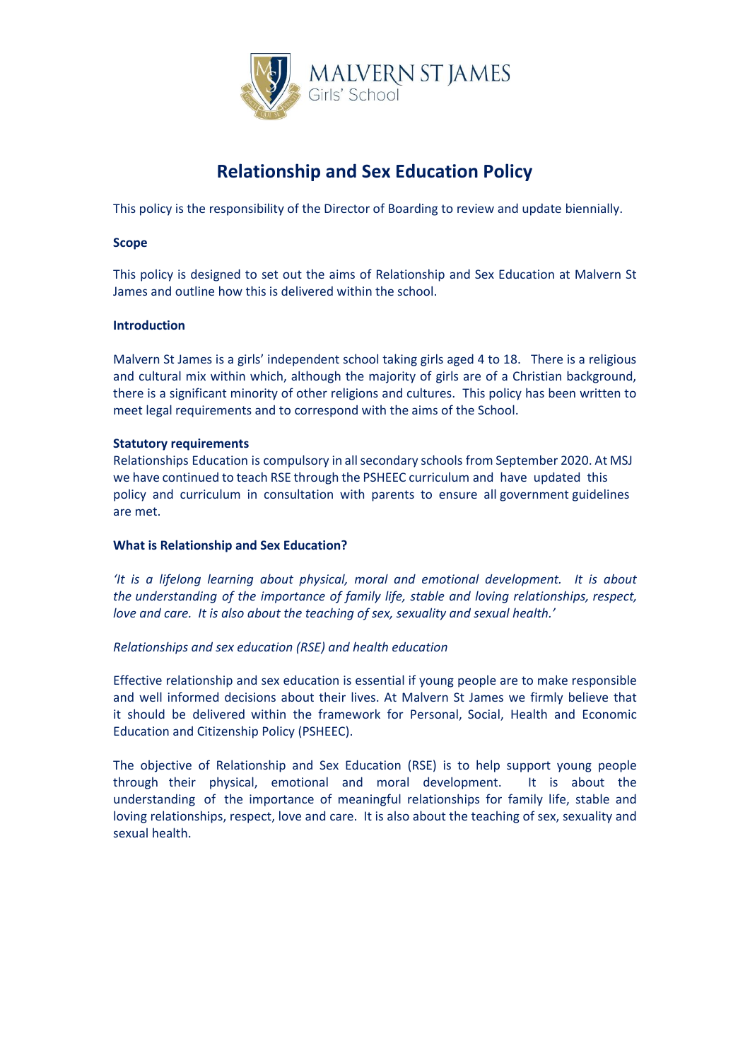

# **Relationship and Sex Education Policy**

This policy is the responsibility of the Director of Boarding to review and update biennially.

## **Scope**

This policy is designed to set out the aims of Relationship and Sex Education at Malvern St James and outline how this is delivered within the school.

## **Introduction**

Malvern St James is a girls' independent school taking girls aged 4 to 18. There is a religious and cultural mix within which, although the majority of girls are of a Christian background, there is a significant minority of other religions and cultures. This policy has been written to meet legal requirements and to correspond with the aims of the School.

## **Statutory requirements**

Relationships Education is compulsory in all secondary schools from September 2020. At MSJ we have continued to teach RSE through the PSHEEC curriculum and have updated this policy and curriculum in consultation with parents to ensure all government guidelines are met.

## **What is Relationship and Sex Education?**

*'It is a lifelong learning about physical, moral and emotional development. It is about the understanding of the importance of family life, stable and loving relationships, respect, love and care. It is also about the teaching of sex, sexuality and sexual health.'*

## *Relationships and sex education (RSE) and health education*

Effective relationship and sex education is essential if young people are to make responsible and well informed decisions about their lives. At Malvern St James we firmly believe that it should be delivered within the framework for Personal, Social, Health and Economic Education and Citizenship Policy (PSHEEC).

The objective of Relationship and Sex Education (RSE) is to help support young people through their physical, emotional and moral development. It is about the understanding of the importance of meaningful relationships for family life, stable and loving relationships, respect, love and care. It is also about the teaching of sex, sexuality and sexual health.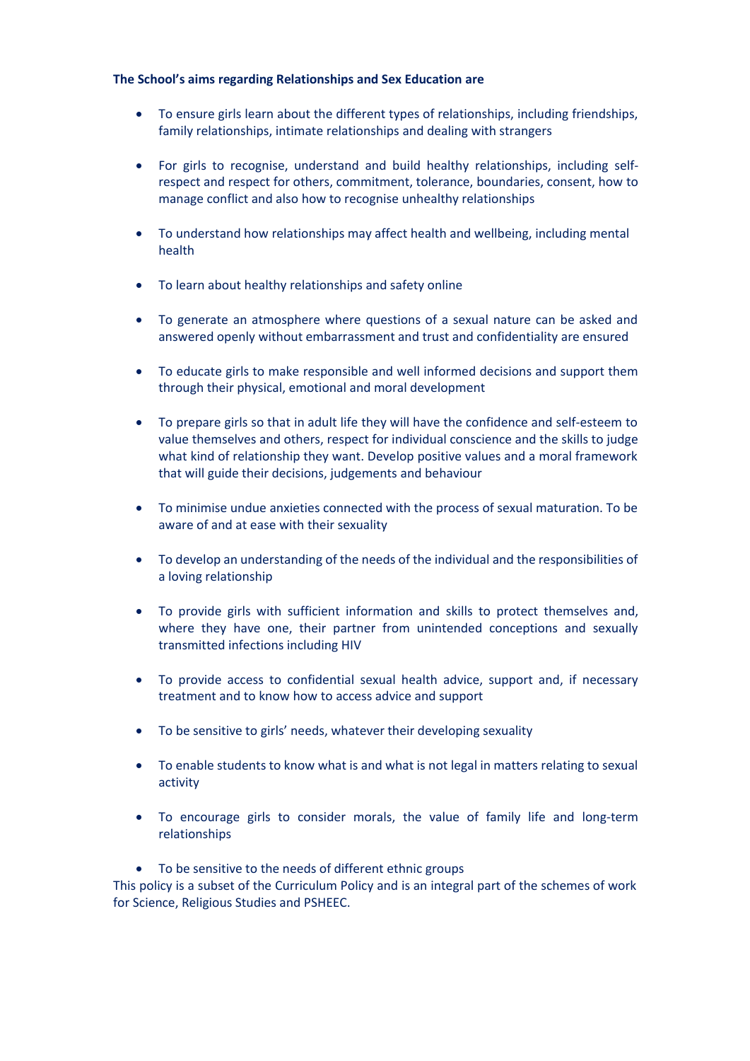## **The School's aims regarding Relationships and Sex Education are**

- To ensure girls learn about the different types of relationships, including friendships, family relationships, intimate relationships and dealing with strangers
- For girls to recognise, understand and build healthy relationships, including selfrespect and respect for others, commitment, tolerance, boundaries, consent, how to manage conflict and also how to recognise unhealthy relationships
- To understand how relationships may affect health and wellbeing, including mental health
- To learn about healthy relationships and safety online
- To generate an atmosphere where questions of a sexual nature can be asked and answered openly without embarrassment and trust and confidentiality are ensured
- To educate girls to make responsible and well informed decisions and support them through their physical, emotional and moral development
- To prepare girls so that in adult life they will have the confidence and self-esteem to value themselves and others, respect for individual conscience and the skills to judge what kind of relationship they want. Develop positive values and a moral framework that will guide their decisions, judgements and behaviour
- To minimise undue anxieties connected with the process of sexual maturation. To be aware of and at ease with their sexuality
- To develop an understanding of the needs of the individual and the responsibilities of a loving relationship
- To provide girls with sufficient information and skills to protect themselves and, where they have one, their partner from unintended conceptions and sexually transmitted infections including HIV
- To provide access to confidential sexual health advice, support and, if necessary treatment and to know how to access advice and support
- To be sensitive to girls' needs, whatever their developing sexuality
- To enable students to know what is and what is not legal in matters relating to sexual activity
- To encourage girls to consider morals, the value of family life and long-term relationships
- To be sensitive to the needs of different ethnic groups

This policy is a subset of the Curriculum Policy and is an integral part of the schemes of work for Science, Religious Studies and PSHEEC.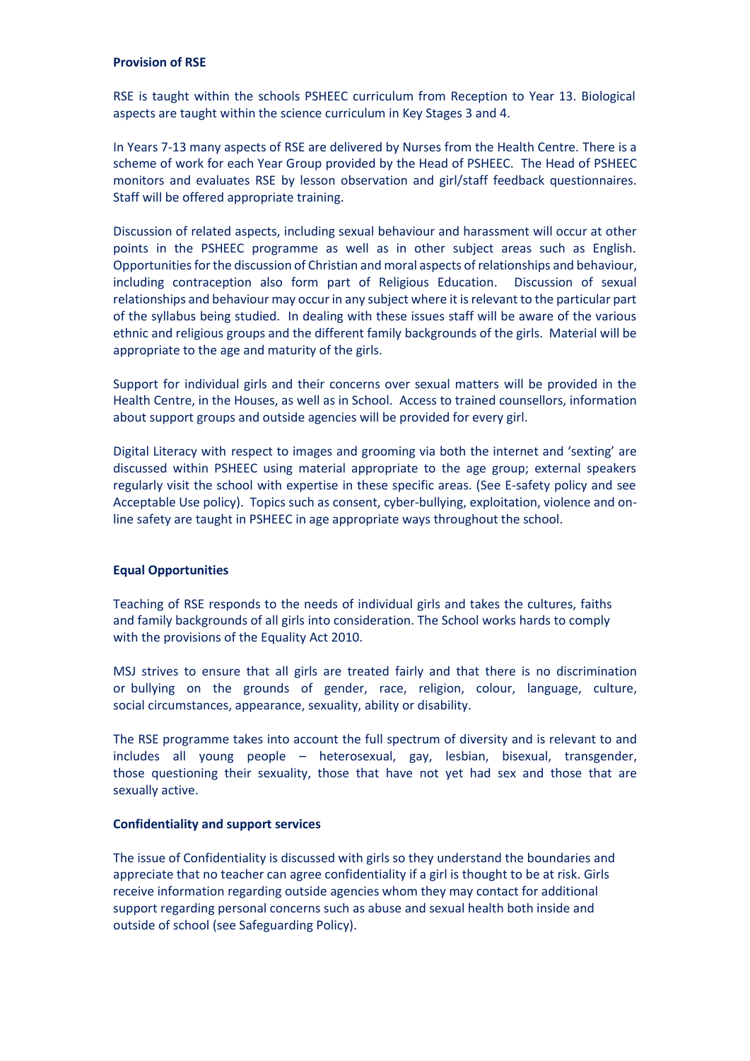## **Provision of RSE**

RSE is taught within the schools PSHEEC curriculum from Reception to Year 13. Biological aspects are taught within the science curriculum in Key Stages 3 and 4.

In Years 7-13 many aspects of RSE are delivered by Nurses from the Health Centre. There is a scheme of work for each Year Group provided by the Head of PSHEEC. The Head of PSHEEC monitors and evaluates RSE by lesson observation and girl/staff feedback questionnaires. Staff will be offered appropriate training.

Discussion of related aspects, including sexual behaviour and harassment will occur at other points in the PSHEEC programme as well as in other subject areas such as English. Opportunities forthe discussion of Christian and moral aspects of relationships and behaviour, including contraception also form part of Religious Education. Discussion of sexual relationships and behaviour may occur in any subject where it is relevant to the particular part of the syllabus being studied. In dealing with these issues staff will be aware of the various ethnic and religious groups and the different family backgrounds of the girls. Material will be appropriate to the age and maturity of the girls.

Support for individual girls and their concerns over sexual matters will be provided in the Health Centre, in the Houses, as well as in School. Access to trained counsellors, information about support groups and outside agencies will be provided for every girl.

Digital Literacy with respect to images and grooming via both the internet and 'sexting' are discussed within PSHEEC using material appropriate to the age group; external speakers regularly visit the school with expertise in these specific areas. (See E-safety policy and see Acceptable Use policy). Topics such as consent, cyber-bullying, exploitation, violence and online safety are taught in PSHEEC in age appropriate ways throughout the school.

## **Equal Opportunities**

Teaching of RSE responds to the needs of individual girls and takes the cultures, faiths and family backgrounds of all girls into consideration. The School works hards to comply with the provisions of the Equality Act 2010.

MSJ strives to ensure that all girls are treated fairly and that there is no discrimination or bullying on the grounds of gender, race, religion, colour, language, culture, social circumstances, appearance, sexuality, ability or disability.

The RSE programme takes into account the full spectrum of diversity and is relevant to and includes all young people – heterosexual, gay, lesbian, bisexual, transgender, those questioning their sexuality, those that have not yet had sex and those that are sexually active.

## **Confidentiality and support services**

The issue of Confidentiality is discussed with girls so they understand the boundaries and appreciate that no teacher can agree confidentiality if a girl is thought to be at risk. Girls receive information regarding outside agencies whom they may contact for additional support regarding personal concerns such as abuse and sexual health both inside and outside of school (see Safeguarding Policy).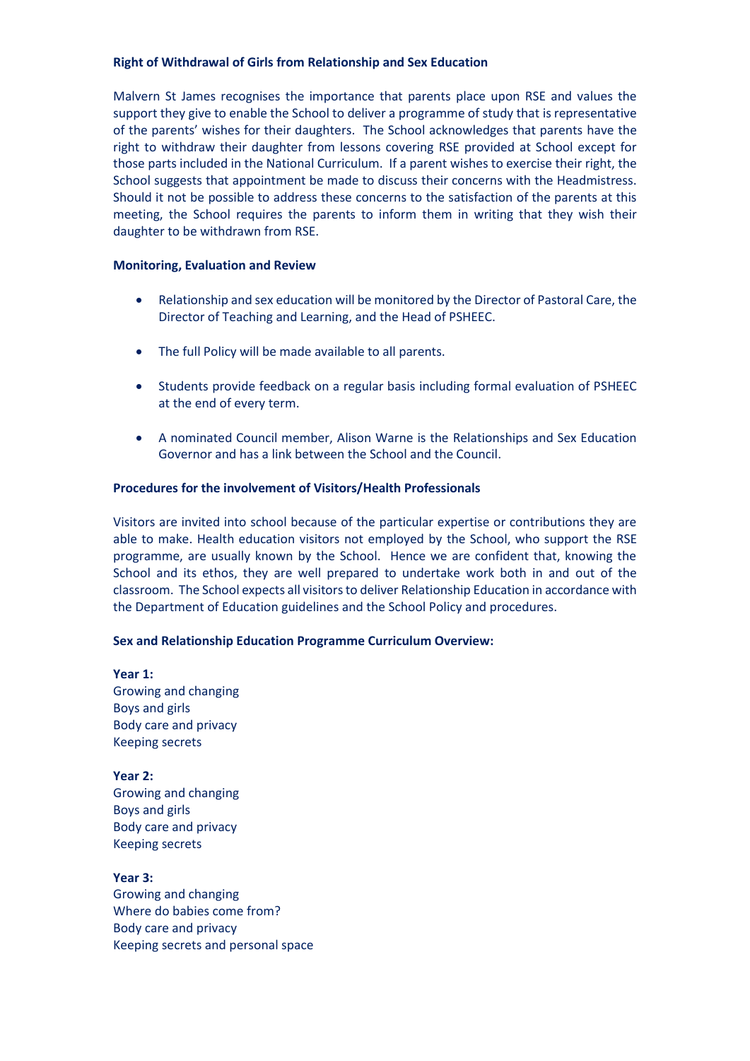## **Right of Withdrawal of Girls from Relationship and Sex Education**

Malvern St James recognises the importance that parents place upon RSE and values the support they give to enable the School to deliver a programme of study that is representative of the parents' wishes for their daughters. The School acknowledges that parents have the right to withdraw their daughter from lessons covering RSE provided at School except for those parts included in the National Curriculum. If a parent wishes to exercise their right, the School suggests that appointment be made to discuss their concerns with the Headmistress. Should it not be possible to address these concerns to the satisfaction of the parents at this meeting, the School requires the parents to inform them in writing that they wish their daughter to be withdrawn from RSE.

## **Monitoring, Evaluation and Review**

- Relationship and sex education will be monitored by the Director of Pastoral Care, the Director of Teaching and Learning, and the Head of PSHEEC.
- The full Policy will be made available to all parents.
- Students provide feedback on a regular basis including formal evaluation of PSHEEC at the end of every term.
- A nominated Council member, Alison Warne is the Relationships and Sex Education Governor and has a link between the School and the Council.

## **Procedures for the involvement of Visitors/Health Professionals**

Visitors are invited into school because of the particular expertise or contributions they are able to make. Health education visitors not employed by the School, who support the RSE programme, are usually known by the School. Hence we are confident that, knowing the School and its ethos, they are well prepared to undertake work both in and out of the classroom. The School expects all visitors to deliver Relationship Education in accordance with the Department of Education guidelines and the School Policy and procedures.

## **Sex and Relationship Education Programme Curriculum Overview:**

**Year 1:**  Growing and changing Boys and girls Body care and privacy Keeping secrets

**Year 2:**  Growing and changing Boys and girls Body care and privacy Keeping secrets

**Year 3:**  Growing and changing Where do babies come from? Body care and privacy Keeping secrets and personal space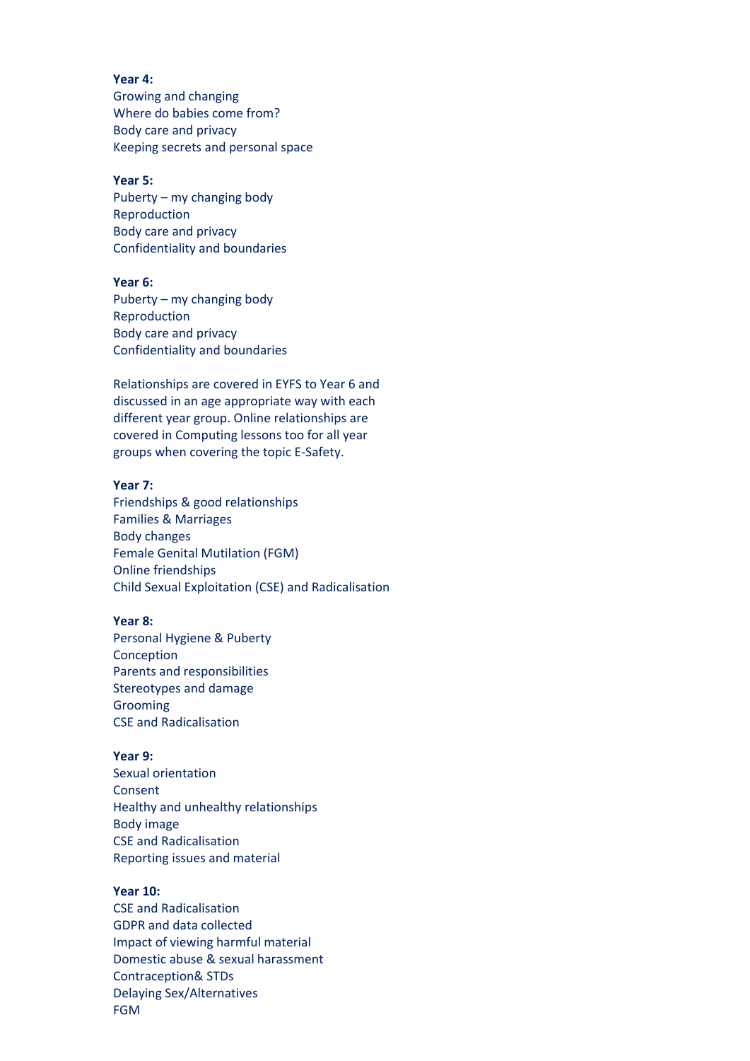**Year 4:**  Growing and changing Where do babies come from? Body care and privacy Keeping secrets and personal space

#### **Year 5:**

Puberty – my changing body Reproduction Body care and privacy Confidentiality and boundaries

#### **Year 6:**

Puberty – my changing body Reproduction Body care and privacy Confidentiality and boundaries

Relationships are covered in EYFS to Year 6 and discussed in an age appropriate way with each different year group. Online relationships are covered in Computing lessons too for all year groups when covering the topic E-Safety.

#### **Year 7:**

Friendships & good relationships Families & Marriages Body changes Female Genital Mutilation (FGM) Online friendships Child Sexual Exploitation (CSE) and Radicalisation

## **Year 8:**

Personal Hygiene & Puberty Conception Parents and responsibilities Stereotypes and damage Grooming CSE and Radicalisation

## **Year 9:**

Sexual orientation Consent Healthy and unhealthy relationships Body image CSE and Radicalisation Reporting issues and material

## **Year 10:**

CSE and Radicalisation GDPR and data collected Impact of viewing harmful material Domestic abuse & sexual harassment Contraception& STDs Delaying Sex/Alternatives FGM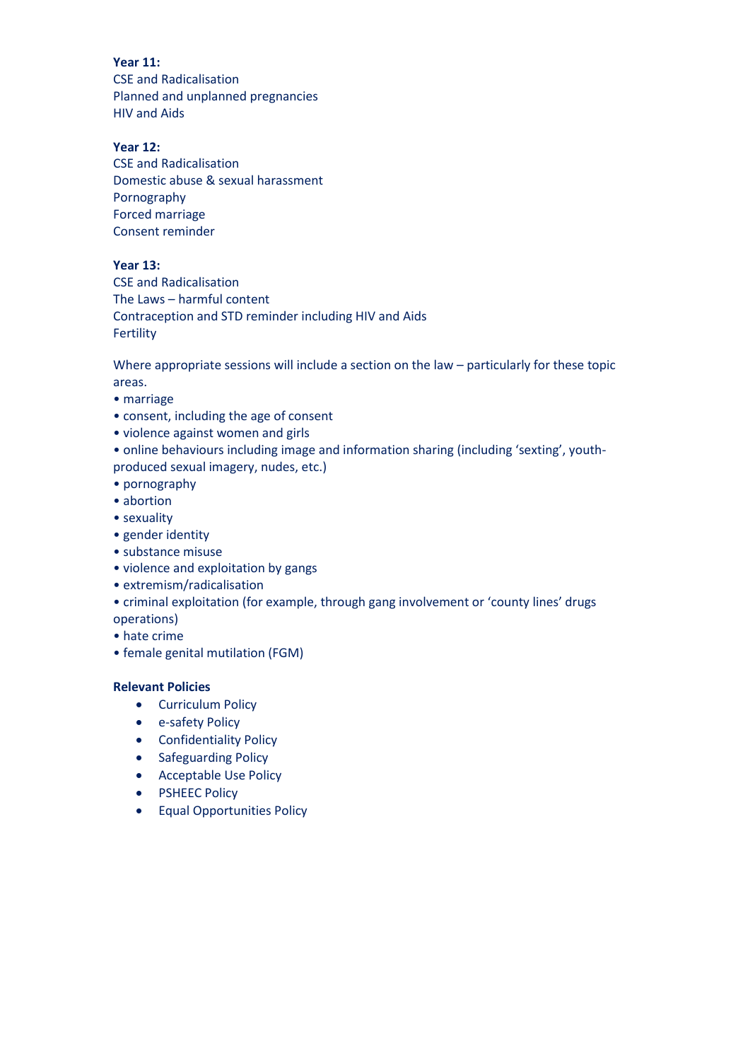**Year 11:** CSE and Radicalisation Planned and unplanned pregnancies HIV and Aids

# **Year 12:**

CSE and Radicalisation Domestic abuse & sexual harassment Pornography Forced marriage Consent reminder

## **Year 13:**

CSE and Radicalisation The Laws – harmful content Contraception and STD reminder including HIV and Aids Fertility

Where appropriate sessions will include a section on the law – particularly for these topic areas.

- marriage
- consent, including the age of consent
- violence against women and girls
- online behaviours including image and information sharing (including 'sexting', youthproduced sexual imagery, nudes, etc.)
- pornography
- abortion
- sexuality
- gender identity
- substance misuse
- violence and exploitation by gangs
- extremism/radicalisation
- criminal exploitation (for example, through gang involvement or 'county lines' drugs operations)
- hate crime
- female genital mutilation (FGM)

# **Relevant Policies**

- Curriculum Policy
- e-safety Policy
- Confidentiality Policy
- Safeguarding Policy
- Acceptable Use Policy
- PSHEEC Policy
- Equal Opportunities Policy